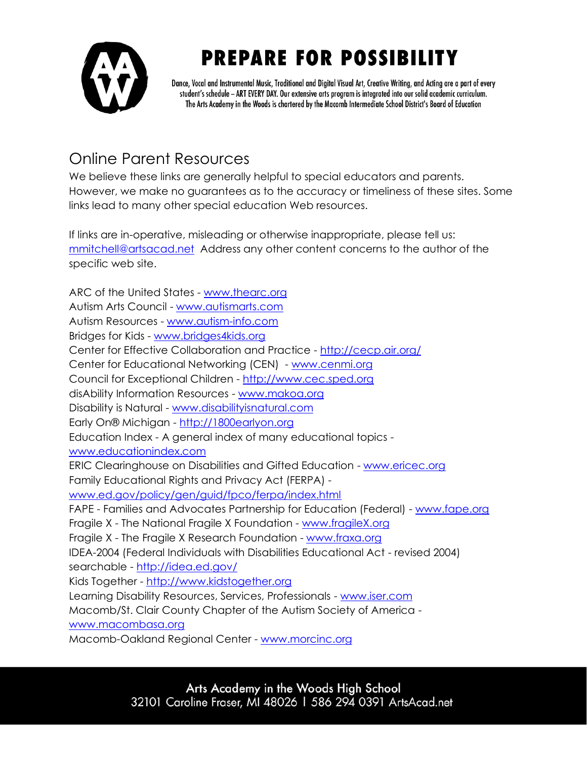

## **PREPARE FOR POSSIBILITY**

Dance, Vocal and Instrumental Music, Traditional and Digital Visual Art, Creative Writing, and Acting are a part of every student's schedule - ART EVERY DAY. Our extensive arts program is integrated into our solid academic curriculum. The Arts Academy in the Woods is chartered by the Macomb Intermediate School District's Board of Education

## Online Parent Resources

We believe these links are generally helpful to special educators and parents. However, we make no guarantees as to the accuracy or timeliness of these sites. Some links lead to many other special education Web resources.

If links are in-operative, misleading or otherwise inappropriate, please tell us: [mmitchell@artsacad.net](mailto:mmitchell@artsacad.net) Address any other content concerns to the author of the specific web site.

ARC of the United States - [www.thearc.org](http://www.thearc.org/) Autism Arts Council - [www.autismarts.com](http://www.autismarts.com/) Autism Resources - [www.autism-info.com](http://www.autism-info.com/) Bridges for Kids - [www.bridges4kids.org](http://www.bridges4kids.org/) Center for Effective Collaboration and Practice - <http://cecp.air.org/> Center for Educational Networking (CEN) - [www.cenmi.org](http://www.cenmi.org/) Council for Exceptional Children - [http://www.cec.sped.org](http://www.cec.sped.org/) disAbility Information Resources - [www.makoa.org](http://www.makoa.org/) Disability is Natural - [www.disabilityisnatural.com](http://www.disabilityisnatural.com/) Early On® Michigan - [http://1800earlyon.org](http://1800earlyon.org/) Education Index - A general index of many educational topics [www.educationindex.com](http://www.educationindex.com/) ERIC Clearinghouse on Disabilities and Gifted Education - [www.ericec.org](http://www.ericec.org/) Family Educational Rights and Privacy Act (FERPA) [www.ed.gov/policy/gen/guid/fpco/ferpa/index.html](http://www.ed.gov/policy/gen/guid/fpco/ferpa/index.html) FAPE - Families and Advocates Partnership for Education (Federal) - [www.fape.org](http://www.fape.org/) Fragile X - The National Fragile X Foundation - [www.fragileX.org](http://www.fragilex.org/) Fragile X - The Fragile X Research Foundation - [www.fraxa.org](http://www.fraxa.org/) IDEA-2004 (Federal Individuals with Disabilities Educational Act - revised 2004) searchable - <http://idea.ed.gov/> Kids Together - [http://www.kidstogether.org](http://www.kidstogether.org/) Learning Disability Resources, Services, Professionals - [www.iser.com](http://www.iser.com/) Macomb/St. Clair County Chapter of the Autism Society of America [www.macombasa.org](http://www.macombasa.org/) Macomb-Oakland Regional Center - [www.morcinc.org](http://www.morcinc.org/)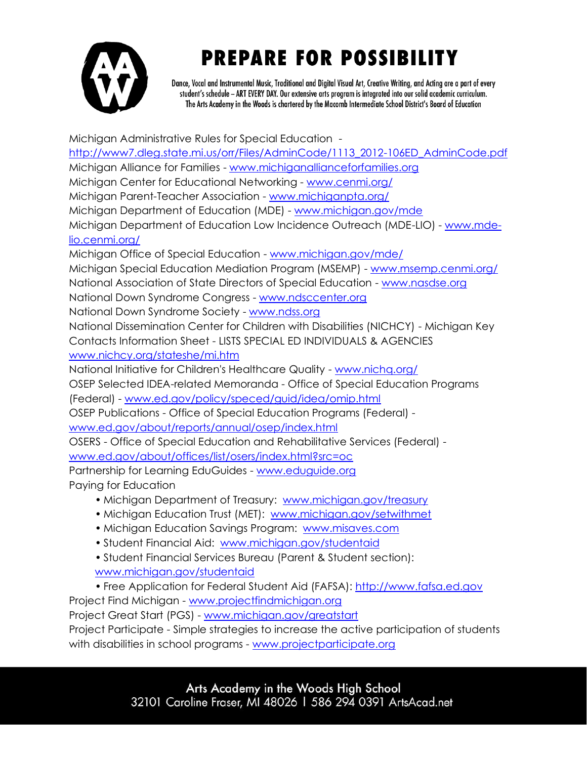

## **PREPARE FOR POSSIBILITY**

Dance, Vocal and Instrumental Music, Traditional and Digital Visual Art, Creative Writing, and Acting are a part of every student's schedule - ART EVERY DAY. Our extensive arts program is integrated into our solid academic curriculum. The Arts Academy in the Woods is chartered by the Macomb Intermediate School District's Board of Education

Michigan Administrative Rules for Special Education [http://www7.dleg.state.mi.us/orr/Files/AdminCode/1113\\_2012-106ED\\_AdminCode.pdf](http://www7.dleg.state.mi.us/orr/Files/AdminCode/1113_2012-106ED_AdminCode.pdf) Michigan Alliance for Families - [www.michiganallianceforfamilies.org](http://www.michiganallianceforfamilies.org/) Michigan Center for Educational Networking - [www.cenmi.org/](http://www.cenmi.org/) Michigan Parent-Teacher Association - [www.michiganpta.org/](http://www.michiganpta.org/) Michigan Department of Education (MDE) - [www.michigan.gov/mde](http://www.michigan.gov/mde) Michigan Department of Education Low Incidence Outreach (MDE-LIO) - [www.mde](http://www.mde-lio.cenmi.org/)[lio.cenmi.org/](http://www.mde-lio.cenmi.org/) Michigan Office of Special Education - [www.michigan.gov/mde/](http://www.michigan.gov/mde/) Michigan Special Education Mediation Program (MSEMP) - [www.msemp.cenmi.org/](http://www.msemp.cenmi.org/) National Association of State Directors of Special Education - [www.nasdse.org](http://www.nasdse.org/) National Down Syndrome Congress - [www.ndsccenter.org](http://www.ndsccenter.org/) National Down Syndrome Society - [www.ndss.org](http://www.ndss.org/) National Dissemination Center for Children with Disabilities (NICHCY) - Michigan Key Contacts Information Sheet - LISTS SPECIAL ED INDIVIDUALS & AGENCIES [www.nichcy.org/stateshe/mi.htm](http://www.nichcy.org/stateshe/mi.htm) National Initiative for Children's Healthcare Quality - [www.nichq.org/](http://www.nichq.org/) OSEP Selected IDEA-related Memoranda - Office of Special Education Programs (Federal) - [www.ed.gov/policy/speced/guid/idea/omip.html](http://www.ed.gov/policy/speced/guid/idea/omip.html) OSEP Publications - Office of Special Education Programs (Federal) [www.ed.gov/about/reports/annual/osep/index.html](http://www.ed.gov/about/reports/annual/osep/index.html) OSERS - Office of Special Education and Rehabilitative Services (Federal) [www.ed.gov/about/offices/list/osers/index.html?src=oc](http://www.ed.gov/about/offices/list/osers/index.html?src=oc) Partnership for Learning EduGuides - [www.eduguide.org](http://www.eduguide.org/) Paying for Education • Michigan Department of Treasury: www.michigan.gov/treasury

- Michigan Education Trust (MET): [www.michigan.gov/setwithmet](http://www.michigan.gov/setwithmet)
- Michigan Education Savings Program: [www.misaves.com](http://www.misaves.com/)
- Student Financial Aid: [www.michigan.gov/studentaid](http://www.michigan.gov/studentaid)
- Student Financial Services Bureau (Parent & Student section): [www.michigan.gov/studentaid](http://www.michigan.gov/studentaid)

• Free Application for Federal Student Aid (FAFSA): [http://www.fafsa.ed.gov](http://www.fafsa.ed.gov/)  Project Find Michigan - [www.projectfindmichigan.org](http://www.projectfindmichigan.org/) Project Great Start (PGS) - [www.michigan.gov/greatstart](http://www.michigan.gov/greatstart) Project Participate - Simple strategies to increase the active participation of students with disabilities in school programs - [www.projectparticipate.org](http://www.projectparticipate.org/)

> Arts Academy in the Woods High School 32101 Caroline Fraser, MI 48026 | 586 294 0391 ArtsAcad.net